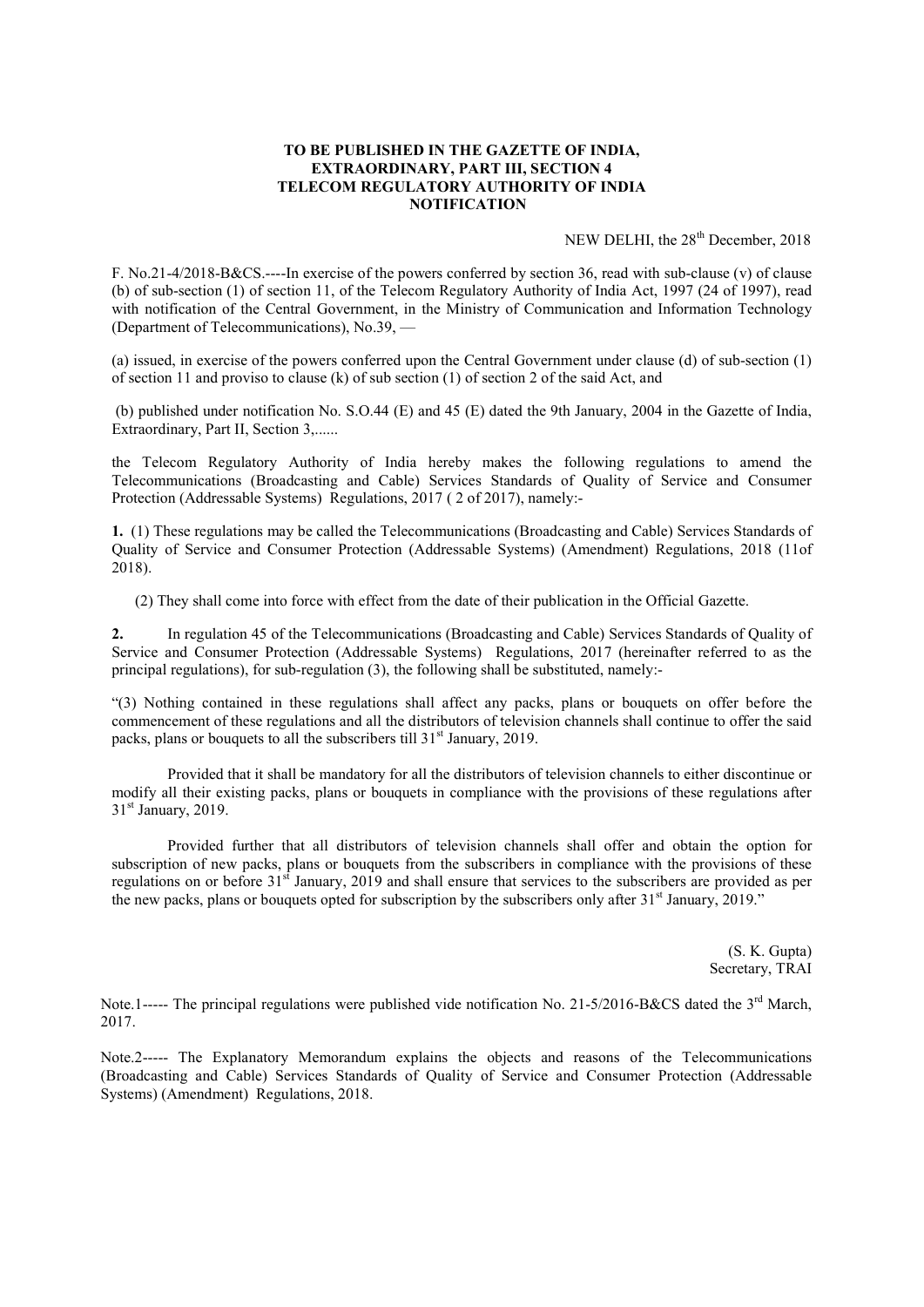## TO BE PUBLISHED IN THE GAZETTE OF INDIA, EXTRAORDINARY, PART III, SECTION 4 TELECOM REGULATORY AUTHORITY OF INDIA **NOTIFICATION**

NEW DELHI, the 28<sup>th</sup> December, 2018

F. No.21-4/2018-B&CS.----In exercise of the powers conferred by section 36, read with sub-clause (v) of clause (b) of sub-section (1) of section 11, of the Telecom Regulatory Authority of India Act, 1997 (24 of 1997), read with notification of the Central Government, in the Ministry of Communication and Information Technology (Department of Telecommunications), No.39, —

(a) issued, in exercise of the powers conferred upon the Central Government under clause (d) of sub-section (1) of section 11 and proviso to clause (k) of sub section (1) of section 2 of the said Act, and

(b) published under notification No. S.O.44 (E) and 45 (E) dated the 9th January, 2004 in the Gazette of India, Extraordinary, Part II, Section 3,......

the Telecom Regulatory Authority of India hereby makes the following regulations to amend the Telecommunications (Broadcasting and Cable) Services Standards of Quality of Service and Consumer Protection (Addressable Systems) Regulations, 2017 ( 2 of 2017), namely:-

1. (1) These regulations may be called the Telecommunications (Broadcasting and Cable) Services Standards of Quality of Service and Consumer Protection (Addressable Systems) (Amendment) Regulations, 2018 (11of 2018).

(2) They shall come into force with effect from the date of their publication in the Official Gazette.

2. In regulation 45 of the Telecommunications (Broadcasting and Cable) Services Standards of Quality of Service and Consumer Protection (Addressable Systems) Regulations, 2017 (hereinafter referred to as the principal regulations), for sub-regulation (3), the following shall be substituted, namely:-

"(3) Nothing contained in these regulations shall affect any packs, plans or bouquets on offer before the commencement of these regulations and all the distributors of television channels shall continue to offer the said packs, plans or bouquets to all the subscribers till  $31<sup>st</sup>$  January, 2019.

Provided that it shall be mandatory for all the distributors of television channels to either discontinue or modify all their existing packs, plans or bouquets in compliance with the provisions of these regulations after 31<sup>st</sup> January, 2019.

Provided further that all distributors of television channels shall offer and obtain the option for subscription of new packs, plans or bouquets from the subscribers in compliance with the provisions of these regulations on or before 31<sup>st</sup> January, 2019 and shall ensure that services to the subscribers are provided as per the new packs, plans or bouquets opted for subscription by the subscribers only after  $31<sup>st</sup>$  January, 2019."

> (S. K. Gupta) Secretary, TRAI

Note.1----- The principal regulations were published vide notification No. 21-5/2016-B&CS dated the 3<sup>rd</sup> March, 2017.

Note.2----- The Explanatory Memorandum explains the objects and reasons of the Telecommunications (Broadcasting and Cable) Services Standards of Quality of Service and Consumer Protection (Addressable Systems) (Amendment) Regulations, 2018.